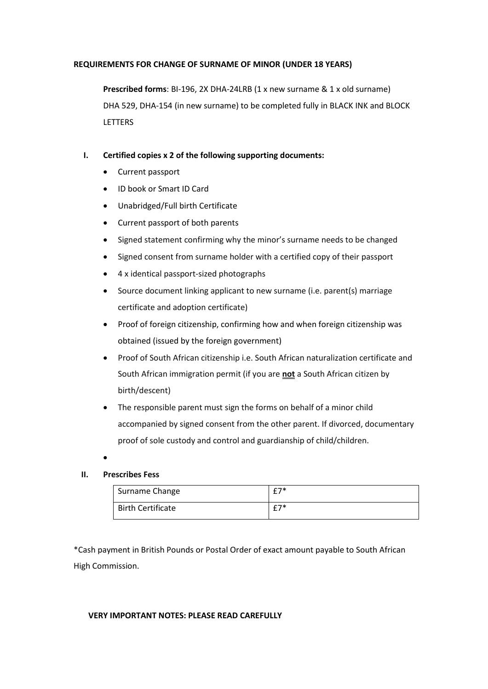## **REQUIREMENTS FOR CHANGE OF SURNAME OF MINOR (UNDER 18 YEARS)**

**Prescribed forms**: BI-196, 2X DHA-24LRB (1 x new surname & 1 x old surname) DHA 529, DHA-154 (in new surname) to be completed fully in BLACK INK and BLOCK **LETTERS** 

# **I. Certified copies x 2 of the following supporting documents:**

- Current passport
- ID book or Smart ID Card
- Unabridged/Full birth Certificate
- Current passport of both parents
- Signed statement confirming why the minor's surname needs to be changed
- Signed consent from surname holder with a certified copy of their passport
- 4 x identical passport-sized photographs
- Source document linking applicant to new surname (i.e. parent(s) marriage certificate and adoption certificate)
- Proof of foreign citizenship, confirming how and when foreign citizenship was obtained (issued by the foreign government)
- Proof of South African citizenship i.e. South African naturalization certificate and South African immigration permit (if you are **not** a South African citizen by birth/descent)
- The responsible parent must sign the forms on behalf of a minor child accompanied by signed consent from the other parent. If divorced, documentary proof of sole custody and control and guardianship of child/children.
- •

# **II. Prescribes Fess**

| Surname Change           | <b>C7*</b> |
|--------------------------|------------|
| <b>Birth Certificate</b> | <b>C7*</b> |

\*Cash payment in British Pounds or Postal Order of exact amount payable to South African High Commission.

## **VERY IMPORTANT NOTES: PLEASE READ CAREFULLY**